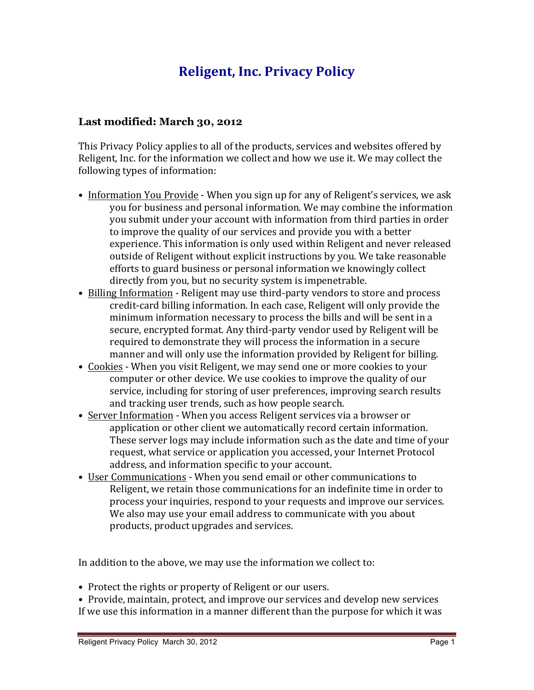# **Religent, Inc. Privacy Policy**

#### **Last modified: March 30, 2012**

This Privacy Policy applies to all of the products, services and websites offered by Religent, Inc. for the information we collect and how we use it. We may collect the following types of information:

- Information You Provide When you sign up for any of Religent's services, we ask you for business and personal information. We may combine the information you submit under your account with information from third parties in order to improve the quality of our services and provide you with a better experience. This information is only used within Religent and never released outside of Religent without explicit instructions by you. We take reasonable efforts to guard business or personal information we knowingly collect directly from you, but no security system is impenetrable.
- Billing Information Religent may use third-party vendors to store and process credit-card billing information. In each case, Religent will only provide the minimum information necessary to process the bills and will be sent in a secure, encrypted format. Any third-party vendor used by Religent will be required to demonstrate they will process the information in a secure manner and will only use the information provided by Religent for billing.
- Cookies When you visit Religent, we may send one or more cookies to your computer or other device. We use cookies to improve the quality of our service, including for storing of user preferences, improving search results and tracking user trends, such as how people search.
- Server Information When you access Religent services via a browser or application or other client we automatically record certain information. These server logs may include information such as the date and time of your request, what service or application you accessed, your Internet Protocol address, and information specific to your account.
- User Communications When you send email or other communications to Religent, we retain those communications for an indefinite time in order to process your inquiries, respond to your requests and improve our services. We also may use your email address to communicate with you about products, product upgrades and services.

In addition to the above, we may use the information we collect to:

- Protect the rights or property of Religent or our users.
- Provide, maintain, protect, and improve our services and develop new services If we use this information in a manner different than the purpose for which it was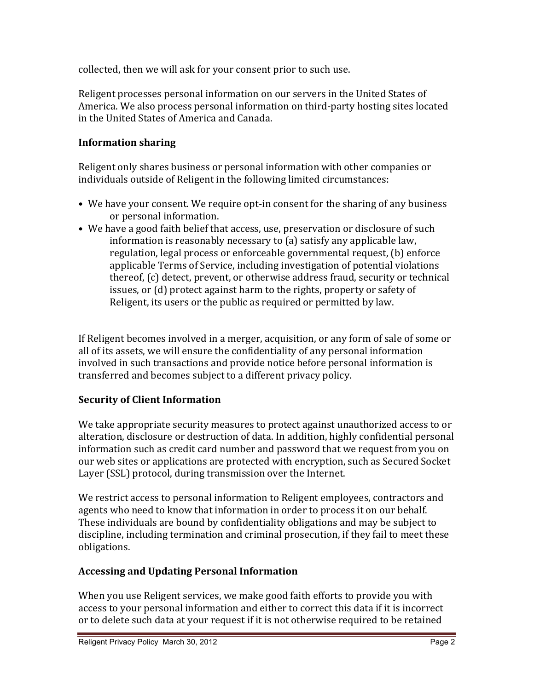collected, then we will ask for your consent prior to such use.

Religent processes personal information on our servers in the United States of America. We also process personal information on third-party hosting sites located in the United States of America and Canada.

## **Information sharing**

Religent only shares business or personal information with other companies or individuals outside of Religent in the following limited circumstances:

- We have your consent. We require opt-in consent for the sharing of any business or personal information.
- We have a good faith belief that access, use, preservation or disclosure of such information is reasonably necessary to (a) satisfy any applicable law. regulation, legal process or enforceable governmental request, (b) enforce applicable Terms of Service, including investigation of potential violations thereof,  $(c)$  detect, prevent, or otherwise address fraud, security or technical issues, or (d) protect against harm to the rights, property or safety of Religent, its users or the public as required or permitted by law.

If Religent becomes involved in a merger, acquisition, or any form of sale of some or all of its assets, we will ensure the confidentiality of any personal information involved in such transactions and provide notice before personal information is transferred and becomes subject to a different privacy policy.

### **Security of Client Information**

We take appropriate security measures to protect against unauthorized access to or alteration, disclosure or destruction of data. In addition, highly confidential personal information such as credit card number and password that we request from you on our web sites or applications are protected with encryption, such as Secured Socket Layer (SSL) protocol, during transmission over the Internet.

We restrict access to personal information to Religent employees, contractors and agents who need to know that information in order to process it on our behalf. These individuals are bound by confidentiality obligations and may be subject to discipline, including termination and criminal prosecution, if they fail to meet these obligations.

### **Accessing and Updating Personal Information**

When you use Religent services, we make good faith efforts to provide you with access to your personal information and either to correct this data if it is incorrect or to delete such data at your request if it is not otherwise required to be retained